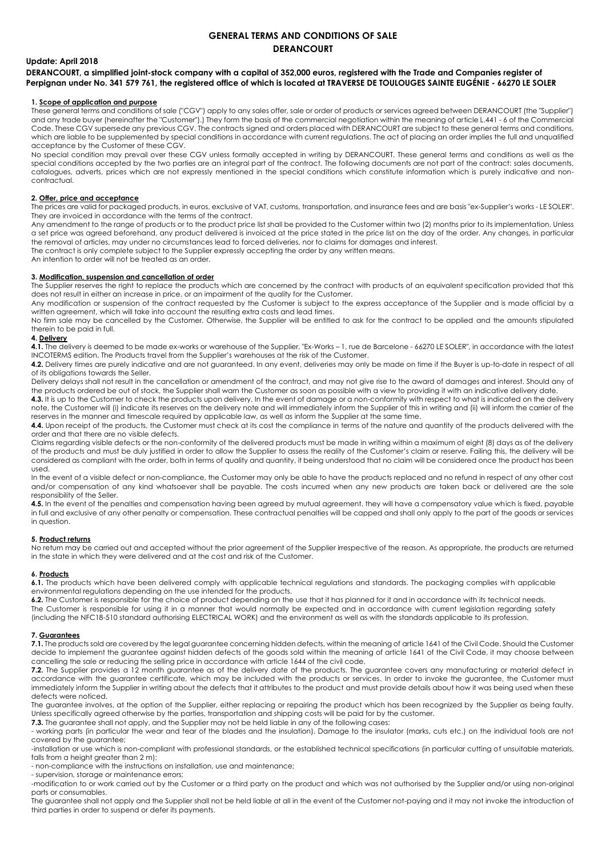# **GENERAL TERMS AND CONDITIONS OF SALE DERANCOURT**

## **Update: April 2018**

**DERANCOURT, a simplified joint-stock company with a capital of 352,000 euros, registered with the Trade and Companies register of Perpignan under No. 341 579 761, the registered office of which is located at TRAVERSE DE TOULOUGES SAINTE EUGÉNIE - 66270 LE SOLER**

#### **1. Scope of application and purpose**

These general terms and conditions of sale ("CGV") apply to any sales offer, sale or order of products or services agreed between DERANCOURT (the "Supplier") and any trade buyer (hereinafter the "Customer").) They form the basis of the commercial negotiation within the meaning of article L.441 - 6 of the Commercial Code. These CGV supersede any previous CGV. The contracts signed and orders placed with DERANCOURT are subject to these general terms and conditions, which are liable to be supplemented by special conditions in accordance with current regulations. The act of placing an order implies the full and unqualified acceptance by the Customer of these CGV.

No special condition may prevail over these CGV unless formally accepted in writing by DERANCOURT. These general terms and conditions as well as the special conditions accepted by the two parties are an integral part of the contract. The following documents are not part of the contract: sales documents, catalogues, adverts, prices which are not expressly mentioned in the special conditions which constitute information which is purely indicative and noncontractual.

# **2. Offer, price and acceptance**

The prices are valid for packaged products, in euros, exclusive of VAT, customs, transportation, and insurance fees and are basis "ex-Supplier's works - LE SOLER". They are invoiced in accordance with the terms of the contract.

Any amendment to the range of products or to the product price list shall be provided to the Customer within two (2) months prior to its implementation. Unless a set price was agreed beforehand, any product delivered is invoiced at the price stated in the price list on the day of the order. Any changes, in particular the removal of articles, may under no circumstances lead to forced deliveries, nor to claims for damages and interest.

The contract is only complete subject to the Supplier expressly accepting the order by any written means.

An intention to order will not be treated as an order.

### **3. Modification, suspension and cancellation of order**

The Supplier reserves the right to replace the products which are concerned by the contract with products of an equivalent specification provided that this does not result in either an increase in price, or an impairment of the quality for the Customer.

Any modification or suspension of the contract requested by the Customer is subject to the express acceptance of the Supplier and is made official by a written agreement, which will take into account the resulting extra costs and lead times.

No firm sale may be cancelled by the Customer. Otherwise, the Supplier will be entitled to ask for the contract to be applied and the amounts stipulated therein to be paid in full.

### **4. Delivery**

**4.1.** The delivery is deemed to be made ex-works or warehouse of the Supplier, "Ex-Works – 1, rue de Barcelone - 66270 LE SOLER", in accordance with the latest INCOTERMS edition. The Products travel from the Supplier's warehouses at the risk of the Customer.

**4.2.** Delivery times are purely indicative and are not guaranteed. In any event, deliveries may only be made on time if the Buyer is up-to-date in respect of all of its obligations towards the Seller.

Delivery delays shall not result in the cancellation or amendment of the contract, and may not give rise to the award of damages and interest. Should any of the products ordered be out of stock, the Supplier shall warn the Customer as soon as possible with a view to providing it with an indicative delivery date. **4.3.** It is up to the Customer to check the products upon delivery. In the event of damage or a non-conformity with respect to what is indicated on the delivery

note, the Customer will (i) indicate its reserves on the delivery note and will immediately inform the Supplier of this in writing and (ii) will inform the carrier of the reserves in the manner and timescale required by applicable law, as well as inform the Supplier at the same time.

**4.4.** Upon receipt of the products, the Customer must check at its cost the compliance in terms of the nature and quantity of the products delivered with the order and that there are no visible defects.

Claims regarding visible defects or the non-conformity of the delivered products must be made in writing within a maximum of eight (8) days as of the delivery of the products and must be duly justified in order to allow the Supplier to assess the reality of the Customer's claim or reserve. Failing this, the delivery will be considered as compliant with the order, both in terms of quality and quantity, it being understood that no claim will be considered once the product has been used.

In the event of a visible defect or non-compliance, the Customer may only be able to have the products replaced and no refund in respect of any other cost and/or compensation of any kind whatsoever shall be payable. The costs incurred when any new products are taken back or delivered are the sole responsibility of the Seller.

**4.5.** In the event of the penalties and compensation having been agreed by mutual agreement, they will have a compensatory value which is fixed, payable in full and exclusive of any other penalty or compensation. These contractual penalties will be capped and shall only apply to the part of the goods or services in question.

#### **5. Product returns**

No return may be carried out and accepted without the prior agreement of the Supplier irrespective of the reason. As appropriate, the products are returned in the state in which they were delivered and at the cost and risk of the Customer.

## **6. Products**

**6.1.** The products which have been delivered comply with applicable technical regulations and standards. The packaging complies with applicable environmental regulations depending on the use intended for the products.

**6.2.** The Customer is responsible for the choice of product depending on the use that it has planned for it and in accordance with its technical needs. The Customer is responsible for using it in a manner that would normally be expected and in accordance with current legislation regarding safety (including the NFC18-510 standard authorising ELECTRICAL WORK) and the environment as well as with the standards applicable to its profession.

#### **7. Guarantees**

**7.1.** The products sold are covered by the legal guarantee concerning hidden defects, within the meaning o[f article 1641 of the Civil Code.](http://www.lexis360.fr/Docview.aspx?&tsid=docview3_&citationData=%7b%22citationId%22:%22R7%22,%22title%22:%22article%201641%20du%20Code%20civil%22,%22pinpointLabel%22:%22article%22,%22pinpointNum%22:%221641%22,%22docId%22:%22FM_KFRM-CCM0129_0KT4%22%7d) Should the Customer decide to implement the guarantee against hidden defects of the goods sold within the meaning o[f article 1641](http://www.legifrance.gouv.fr/affichCodeArticle.do;jsessionid=CE0E0BD39F89FC9D8C89E409F8B5DA61.tpdila17v_1?cidTexte=LEGITEXT000006070721&idArticle=LEGIARTI000006441924&dateTexte=&categorieLien=cid) of the Civil Code, it may choose between cancelling the sale or reducing the selling price in accordance with [article 1644 o](http://www.legifrance.gouv.fr/affichCodeArticle.do;jsessionid=CE0E0BD39F89FC9D8C89E409F8B5DA61.tpdila17v_1?cidTexte=LEGITEXT000006070721&idArticle=LEGIARTI000006441961&dateTexte=&categorieLien=cid)f the civil code.

**7.2.** The Supplier provides a 12 month guarantee as of the delivery date of the products. The guarantee covers any manufacturing or material defect in accordance with the guarantee certificate, which may be included with the products or services. In order to invoke the guarantee, the Customer must immediately inform the Supplier in writing about the defects that it attributes to the product and must provide details about how it was being used when these defects were noticed.

The guarantee involves, at the option of the Supplier, either replacing or repairing the product which has been recognized by the Supplier as being faulty. Unless specifically agreed otherwise by the parties, transportation and shipping costs will be paid for by the customer.

**7.3.** The guarantee shall not apply, and the Supplier may not be held liable in any of the following cases:

- working parts (in particular the wear and tear of the blades and the insulation). Damage to the insulator (marks, cuts etc.) on the individual tools are not covered by the guarantee;

-installation or use which is non-compliant with professional standards, or the established technical specifications (in particular cutting of unsuitable materials, falls from a height greater than 2 m);

- non-compliance with the instructions on installation, use and maintenance;

- supervision, storage or maintenance errors;

-modification to or work carried out by the Customer or a third party on the product and which was not authorised by the Supplier and/or using non-original parts or consumables.

The guarantee shall not apply and the Supplier shall not be held liable at all in the event of the Customer not-paying and it may not invoke the introduction of third parties in order to suspend or defer its payments.